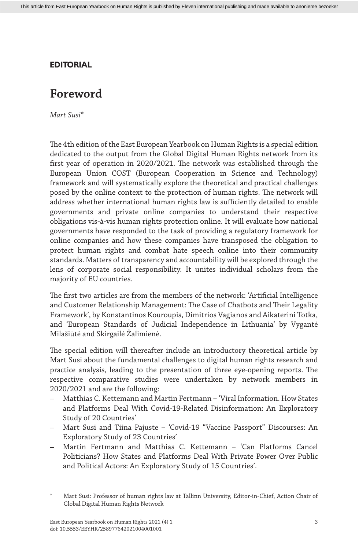## **EDITORIAL**

## **Foreword**

*Mart Susi\**

The 4th edition of the East European Yearbook on Human Rights is a special edition dedicated to the output from the Global Digital Human Rights network from its first year of operation in 2020/2021. The network was established through the European Union COST (European Cooperation in Science and Technology) framework and will systematically explore the theoretical and practical challenges posed by the online context to the protection of human rights. The network will address whether international human rights law is sufficiently detailed to enable governments and private online companies to understand their respective obligations vis-à-vis human rights protection online. It will evaluate how national governments have responded to the task of providing a regulatory framework for online companies and how these companies have transposed the obligation to protect human rights and combat hate speech online into their community standards. Matters of transparency and accountability will be explored through the lens of corporate social responsibility. It unites individual scholars from the majority of EU countries.

The first two articles are from the members of the network: 'Artificial Intelligence and Customer Relationship Management: The Case of Chatbots and Their Legality Framework', by Konstantinos Kouroupis, Dimitrios Vagianos and Aikaterini Totka, and 'European Standards of Judicial Independence in Lithuania' by Vygantė Milašiūtė and Skirgailė Žalimienė.

The special edition will thereafter include an introductory theoretical article by Mart Susi about the fundamental challenges to digital human rights research and practice analysis, leading to the presentation of three eye-opening reports. The respective comparative studies were undertaken by network members in 2020/2021 and are the following:

- Matthias C. Kettemann and Martin Fertmann *–* 'Viral Information. How States and Platforms Deal With Covid-19-Related Disinformation: An Exploratory Study of 20 Countries'
- Mart Susi and Tiina Pajuste 'Covid-19 "Vaccine Passport" Discourses: An Exploratory Study of 23 Countries'
- Martin Fertmann and Matthias C. Kettemann 'Can Platforms Cancel Politicians? How States and Platforms Deal With Private Power Over Public and Political Actors: An Exploratory Study of 15 Countries'.

Mart Susi: Professor of human rights law at Tallinn University, Editor-in-Chief, Action Chair of Global Digital Human Rights Network